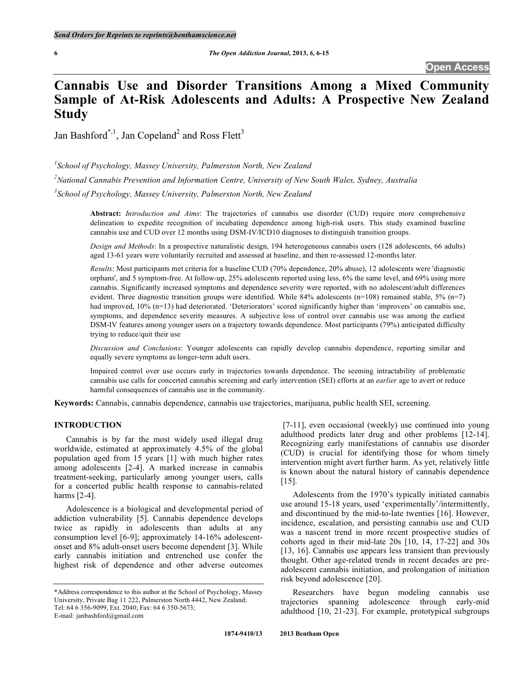# **Cannabis Use and Disorder Transitions Among a Mixed Community Sample of At-Risk Adolescents and Adults: A Prospective New Zealand Study**

Jan Bashford\*,<sup>1</sup>, Jan Copeland<sup>2</sup> and Ross Flett<sup>3</sup>

*1 School of Psychology, Massey University, Palmerston North, New Zealand 2 National Cannabis Prevention and Information Centre, University of New South Wales, Sydney, Australia 3 School of Psychology, Massey University, Palmerston North, New Zealand*

**Abstract:** *Introduction and Aims*: The trajectories of cannabis use disorder (CUD) require more comprehensive delineation to expedite recognition of incubating dependence among high-risk users. This study examined baseline cannabis use and CUD over 12 months using DSM-IV/ICD10 diagnoses to distinguish transition groups.

*Design and Methods*: In a prospective naturalistic design, 194 heterogeneous cannabis users (128 adolescents, 66 adults) aged 13-61 years were voluntarily recruited and assessed at baseline, and then re-assessed 12-months later.

*Results*: Most participants met criteria for a baseline CUD (70% dependence, 20% abuse), 12 adolescents were 'diagnostic orphans', and 5 symptom-free. At follow-up, 25% adolescents reported using less, 6% the same level, and 69% using more cannabis. Significantly increased symptoms and dependence severity were reported, with no adolescent/adult differences evident. Three diagnostic transition groups were identified. While 84% adolescents (n=108) remained stable,  $5\%$  (n=7) had improved, 10% (n=13) had deteriorated. 'Deteriorators' scored significantly higher than 'improvers' on cannabis use, symptoms, and dependence severity measures. A subjective loss of control over cannabis use was among the earliest DSM-IV features among younger users on a trajectory towards dependence. Most participants (79%) anticipated difficulty trying to reduce/quit their use

*Discussion and Conclusions*: Younger adolescents can rapidly develop cannabis dependence, reporting similar and equally severe symptoms as longer-term adult users.

Impaired control over use occurs early in trajectories towards dependence. The seeming intractability of problematic cannabis use calls for concerted cannabis screening and early intervention (SEI) efforts at an *earlier* age to avert or reduce harmful consequences of cannabis use in the community.

**Keywords:** Cannabis, cannabis dependence, cannabis use trajectories, marijuana, public health SEI, screening.

# **INTRODUCTION**

Cannabis is by far the most widely used illegal drug worldwide, estimated at approximately 4.5% of the global population aged from 15 years [1] with much higher rates among adolescents [2-4]. A marked increase in cannabis treatment-seeking, particularly among younger users, calls for a concerted public health response to cannabis-related harms [2-4].

Adolescence is a biological and developmental period of addiction vulnerability [5]. Cannabis dependence develops twice as rapidly in adolescents than adults at any consumption level [6-9]; approximately 14-16% adolescentonset and 8% adult-onset users become dependent [3]. While early cannabis initiation and entrenched use confer the highest risk of dependence and other adverse outcomes

[7-11], even occasional (weekly) use continued into young adulthood predicts later drug and other problems [12-14]. Recognizing early manifestations of cannabis use disorder (CUD) is crucial for identifying those for whom timely intervention might avert further harm. As yet, relatively little is known about the natural history of cannabis dependence [15].

Adolescents from the 1970's typically initiated cannabis use around 15-18 years, used 'experimentally'/intermittently, and discontinued by the mid-to-late twenties [16]. However, incidence, escalation, and persisting cannabis use and CUD was a nascent trend in more recent prospective studies of cohorts aged in their mid-late 20s [10, 14, 17-22] and 30s [13, 16]. Cannabis use appears less transient than previously thought. Other age-related trends in recent decades are preadolescent cannabis initiation, and prolongation of initiation risk beyond adolescence [20].

Researchers have begun modeling cannabis use trajectories spanning adolescence through early-mid adulthood [10, 21-23]. For example, prototypical subgroups

<sup>\*</sup>Address correspondence to this author at the School of Psychology, Massey University, Private Bag 11 222, Palmerston North 4442, New Zealand; Tel: 64 6 356-9099, Ext. 2040; Fax: 64 6 350-5673; E-mail: janbashford@gmail.com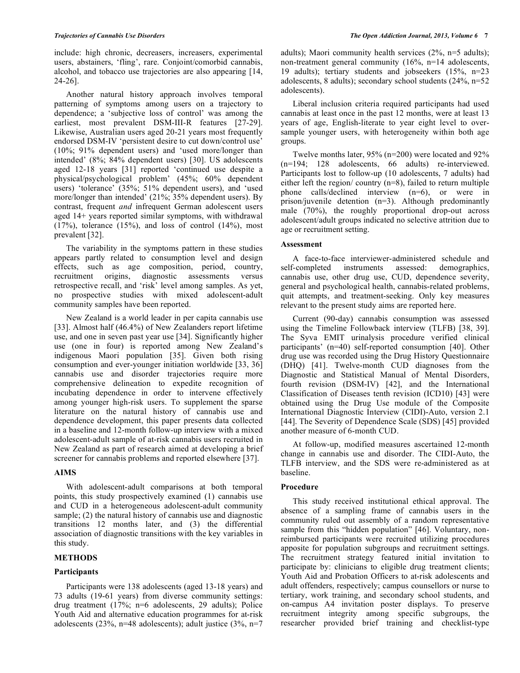include: high chronic, decreasers, increasers, experimental users, abstainers, 'fling', rare. Conjoint/comorbid cannabis, alcohol, and tobacco use trajectories are also appearing [14, 24-26].

Another natural history approach involves temporal patterning of symptoms among users on a trajectory to dependence; a 'subjective loss of control' was among the earliest, most prevalent DSM-III-R features [27-29]. Likewise, Australian users aged 20-21 years most frequently endorsed DSM-IV 'persistent desire to cut down/control use' (10%; 91% dependent users) and 'used more/longer than intended' (8%; 84% dependent users) [30]. US adolescents aged 12-18 years [31] reported 'continued use despite a physical/psychological problem' (45%; 60% dependent users) 'tolerance' (35%; 51% dependent users), and 'used more/longer than intended' (21%; 35% dependent users). By contrast, frequent *and* infrequent German adolescent users aged 14+ years reported similar symptoms, with withdrawal  $(17\%)$ , tolerance  $(15\%)$ , and loss of control  $(14\%)$ , most prevalent [32].

The variability in the symptoms pattern in these studies appears partly related to consumption level and design effects, such as age composition, period, country, recruitment origins, diagnostic assessments versus retrospective recall, and 'risk' level among samples. As yet, no prospective studies with mixed adolescent-adult community samples have been reported.

New Zealand is a world leader in per capita cannabis use [33]. Almost half (46.4%) of New Zealanders report lifetime use, and one in seven past year use [34]. Significantly higher use (one in four) is reported among New Zealand's indigenous Maori population [35]. Given both rising consumption and ever-younger initiation worldwide [33, 36] cannabis use and disorder trajectories require more comprehensive delineation to expedite recognition of incubating dependence in order to intervene effectively among younger high-risk users. To supplement the sparse literature on the natural history of cannabis use and dependence development, this paper presents data collected in a baseline and 12-month follow-up interview with a mixed adolescent-adult sample of at-risk cannabis users recruited in New Zealand as part of research aimed at developing a brief screener for cannabis problems and reported elsewhere [37].

# **AIMS**

With adolescent-adult comparisons at both temporal points, this study prospectively examined (1) cannabis use and CUD in a heterogeneous adolescent-adult community sample; (2) the natural history of cannabis use and diagnostic transitions 12 months later, and (3) the differential association of diagnostic transitions with the key variables in this study.

# **METHODS**

# **Participants**

Participants were 138 adolescents (aged 13-18 years) and 73 adults (19-61 years) from diverse community settings: drug treatment (17%; n=6 adolescents, 29 adults); Police Youth Aid and alternative education programmes for at-risk adolescents (23%, n=48 adolescents); adult justice  $(3\%$ , n=7 adults); Maori community health services (2%, n=5 adults); non-treatment general community (16%, n=14 adolescents, 19 adults); tertiary students and jobseekers (15%, n=23 adolescents, 8 adults); secondary school students (24%, n=52 adolescents).

Liberal inclusion criteria required participants had used cannabis at least once in the past 12 months, were at least 13 years of age, English-literate to year eight level to oversample younger users, with heterogeneity within both age groups.

Twelve months later, 95% (n=200) were located and 92% (n=194; 128 adolescents, 66 adults) re-interviewed. Participants lost to follow-up (10 adolescents, 7 adults) had either left the region/ country (n=8), failed to return multiple phone calls/declined interview (n=6), or were in prison/juvenile detention (n=3). Although predominantly male (70%), the roughly proportional drop-out across adolescent/adult groups indicated no selective attrition due to age or recruitment setting.

# **Assessment**

A face-to-face interviewer-administered schedule and self-completed instruments assessed: demographics, cannabis use, other drug use, CUD, dependence severity, general and psychological health, cannabis-related problems, quit attempts, and treatment-seeking. Only key measures relevant to the present study aims are reported here.

Current (90-day) cannabis consumption was assessed using the Timeline Followback interview (TLFB) [38, 39]. The Syva EMIT urinalysis procedure verified clinical participants' (n=40) self-reported consumption [40]. Other drug use was recorded using the Drug History Questionnaire (DHQ) [41]. Twelve-month CUD diagnoses from the Diagnostic and Statistical Manual of Mental Disorders, fourth revision (DSM-IV) [42], and the International Classification of Diseases tenth revision (ICD10) [43] were obtained using the Drug Use module of the Composite International Diagnostic Interview (CIDI)-Auto, version 2.1 [44]. The Severity of Dependence Scale (SDS) [45] provided another measure of 6-month CUD.

At follow-up, modified measures ascertained 12-month change in cannabis use and disorder. The CIDI-Auto, the TLFB interview, and the SDS were re-administered as at baseline.

# **Procedure**

This study received institutional ethical approval. The absence of a sampling frame of cannabis users in the community ruled out assembly of a random representative sample from this "hidden population" [46]. Voluntary, nonreimbursed participants were recruited utilizing procedures apposite for population subgroups and recruitment settings. The recruitment strategy featured initial invitation to participate by: clinicians to eligible drug treatment clients; Youth Aid and Probation Officers to at-risk adolescents and adult offenders, respectively; campus counsellors or nurse to tertiary, work training, and secondary school students, and on-campus A4 invitation poster displays. To preserve recruitment integrity among specific subgroups, the researcher provided brief training and checklist-type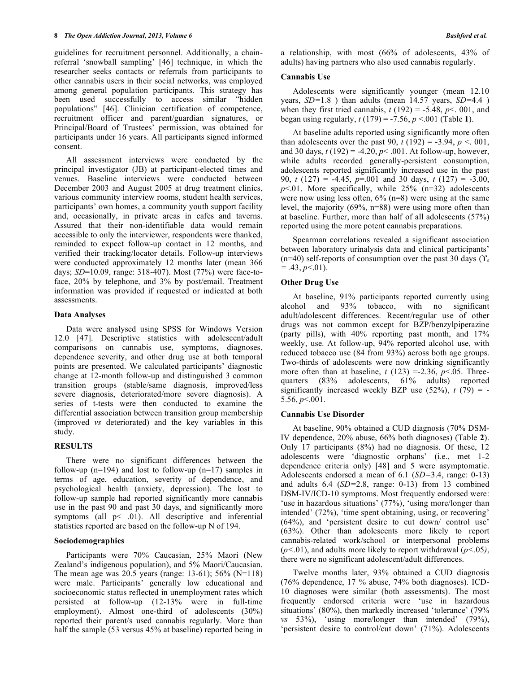guidelines for recruitment personnel. Additionally, a chainreferral 'snowball sampling' [46] technique, in which the researcher seeks contacts or referrals from participants to other cannabis users in their social networks, was employed among general population participants. This strategy has been used successfully to access similar "hidden populations" [46]. Clinician certification of competence, recruitment officer and parent/guardian signatures, or Principal/Board of Trustees' permission, was obtained for participants under 16 years. All participants signed informed consent.

All assessment interviews were conducted by the principal investigator (JB) at participant-elected times and venues. Baseline interviews were conducted between December 2003 and August 2005 at drug treatment clinics, various community interview rooms, student health services, participants' own homes, a community youth support facility and, occasionally, in private areas in cafes and taverns. Assured that their non-identifiable data would remain accessible to only the interviewer, respondents were thanked, reminded to expect follow-up contact in 12 months, and verified their tracking/locator details. Follow-up interviews were conducted approximately 12 months later (mean 366 days; *SD*=10.09, range: 318-407). Most (77%) were face-toface, 20% by telephone, and 3% by post/email. Treatment information was provided if requested or indicated at both assessments.

#### **Data Analyses**

Data were analysed using SPSS for Windows Version 12.0 [47]. Descriptive statistics with adolescent/adult comparisons on cannabis use, symptoms, diagnoses, dependence severity, and other drug use at both temporal points are presented. We calculated participants' diagnostic change at 12-month follow-up and distinguished 3 common transition groups (stable/same diagnosis, improved/less severe diagnosis, deteriorated/more severe diagnosis). A series of t-tests were then conducted to examine the differential association between transition group membership (improved *vs* deteriorated) and the key variables in this study.

# **RESULTS**

There were no significant differences between the follow-up (n=194) and lost to follow-up (n=17) samples in terms of age, education, severity of dependence, and psychological health (anxiety, depression). The lost to follow-up sample had reported significantly more cannabis use in the past 90 and past 30 days, and significantly more symptoms (all  $p<$  .01). All descriptive and inferential statistics reported are based on the follow-up N of 194.

# **Sociodemographics**

Participants were 70% Caucasian, 25% Maori (New Zealand's indigenous population), and 5% Maori/Caucasian. The mean age was 20.5 years (range: 13-61); 56% (N=118) were male. Participants' generally low educational and socioeconomic status reflected in unemployment rates which persisted at follow-up (12-13% were in full-time employment). Almost one-third of adolescents (30%) reported their parent/s used cannabis regularly. More than half the sample (53 versus 45% at baseline) reported being in a relationship, with most (66% of adolescents, 43% of adults) having partners who also used cannabis regularly.

#### **Cannabis Use**

Adolescents were significantly younger (mean 12.10 years, *SD=*1.8 ) than adults (mean 14.57 years, *SD=*4.4 ) when they first tried cannabis,  $t(192) = -5.48$ ,  $p \le 0.01$ , and began using regularly,  $t(179) = -7.56$ ,  $p < .001$  (Table **1**).

At baseline adults reported using significantly more often than adolescents over the past 90,  $t(192) = -3.94$ ,  $p < 0.01$ , and 30 days,  $t(192) = -4.20$ ,  $p < .001$ . At follow-up, however, while adults recorded generally-persistent consumption, adolescents reported significantly increased use in the past 90, *t* (127) = -4.45, *p*=.001 and 30 days, *t* (127) = -3.00,  $p<01$ . More specifically, while  $25\%$  (n=32) adolescents were now using less often,  $6\%$  (n=8) were using at the same level, the majority (69%, n=88) were using more often than at baseline. Further, more than half of all adolescents (57%) reported using the more potent cannabis preparations.

Spearman correlations revealed a significant association between laboratory urinalysis data and clinical participants'  $(n=40)$  self-reports of consumption over the past 30 days  $(\Upsilon_s)$  $= .43, p<.01$ ).

#### **Other Drug Use**

At baseline, 91% participants reported currently using alcohol and 93% tobacco, with no significant adult/adolescent differences. Recent/regular use of other drugs was not common except for BZP/benzylpiperazine (party pills), with 40% reporting past month, and 17% weekly, use. At follow-up, 94% reported alcohol use, with reduced tobacco use (84 from 93%) across both age groups. Two-thirds of adolescents were now drinking significantly more often than at baseline,  $t(123) = -2.36$ ,  $p<.05$ . Threequarters (83% adolescents, 61% adults) reported significantly increased weekly BZP use  $(52\%)$ ,  $t(79) = -$ 5.56, *p*<.001.

#### **Cannabis Use Disorder**

At baseline, 90% obtained a CUD diagnosis (70% DSM-IV dependence, 20% abuse, 66% both diagnoses) (Table **2**). Only 17 participants (8%) had no diagnosis. Of these, 12 adolescents were 'diagnostic orphans' (i.e., met 1-2 dependence criteria only) [48] and 5 were asymptomatic. Adolescents endorsed a mean of 6.1 (*SD=*3.4, range: 0-13) and adults 6.4 (*SD=*2.8, range: 0-13) from 13 combined DSM-IV/ICD-10 symptoms. Most frequently endorsed were: 'use in hazardous situations' (77%), 'using more/longer than intended' (72%), 'time spent obtaining, using, or recovering' (64%), and 'persistent desire to cut down/ control use' (63%). Other than adolescents more likely to report cannabis-related work/school or interpersonal problems (*p<*.01), and adults more likely to report withdrawal (*p<.*05*)*, there were no significant adolescent/adult differences.

Twelve months later, 93% obtained a CUD diagnosis (76% dependence, 17 % abuse, 74% both diagnoses). ICD-10 diagnoses were similar (both assessments). The most frequently endorsed criteria were 'use in hazardous situations' (80%), then markedly increased 'tolerance' (79% *vs* 53%), 'using more/longer than intended' (79%), 'persistent desire to control/cut down' (71%). Adolescents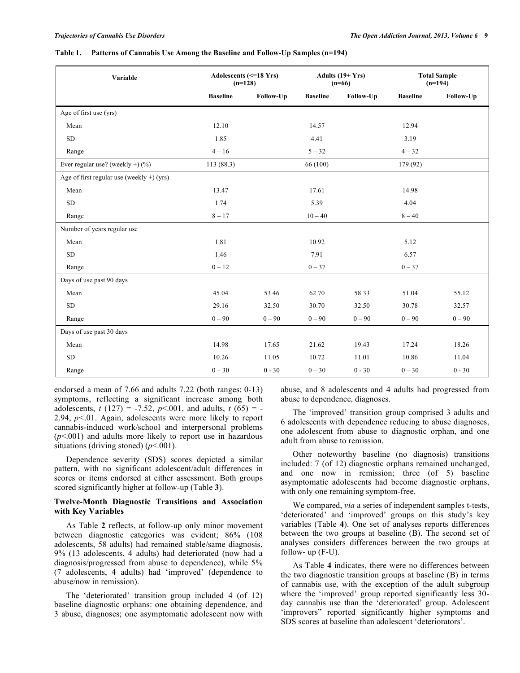#### **Table 1. Patterns of Cannabis Use Among the Baseline and Follow-Up Samples (n=194)**

| Variable                                     | Adolescents (<= 18 Yrs)<br>$(n=128)$ |           | Adults $(19+Yrs)$<br>$(n=66)$ |           | <b>Total Sample</b><br>$(n=194)$ |           |
|----------------------------------------------|--------------------------------------|-----------|-------------------------------|-----------|----------------------------------|-----------|
|                                              | <b>Baseline</b>                      | Follow-Up | <b>Baseline</b>               | Follow-Up | <b>Baseline</b>                  | Follow-Up |
| Age of first use (yrs)                       |                                      |           |                               |           |                                  |           |
| Mean                                         | 12.10                                |           | 14.57                         |           | 12.94                            |           |
| ${\rm SD}$                                   | 1.85                                 |           | 4.41                          |           | 3.19                             |           |
| Range                                        | $4 - 16$                             |           | $5 - 32$                      |           | $4 - 32$                         |           |
| Ever regular use? (weekly +) $(\%)$          | 113 (88.3)                           |           | 66 (100)                      |           | 179 (92)                         |           |
| Age of first regular use (weekly $+$ ) (yrs) |                                      |           |                               |           |                                  |           |
| Mean                                         | 13.47                                |           | 17.61                         |           | 14.98                            |           |
| <b>SD</b>                                    | 1.74                                 |           | 5.39                          |           | 4.04                             |           |
| Range                                        | $8 - 17$                             |           | $10 - 40$                     |           | $8 - 40$                         |           |
| Number of years regular use                  |                                      |           |                               |           |                                  |           |
| Mean                                         | 1.81                                 |           | 10.92                         |           | 5.12                             |           |
| <b>SD</b>                                    | 1.46                                 |           | 7.91                          |           | 6.57                             |           |
| Range                                        | $0 - 12$                             |           | $0 - 37$                      |           | $0 - 37$                         |           |
| Days of use past 90 days                     |                                      |           |                               |           |                                  |           |
| Mean                                         | 45.04                                | 53.46     | 62.70                         | 58.33     | 51.04                            | 55.12     |
| ${\rm SD}$                                   | 29.16                                | 32.50     | 30.70                         | 32.50     | 30.78                            | 32.57     |
| Range                                        | $0 - 90$                             | $0 - 90$  | $0 - 90$                      | $0 - 90$  | $0 - 90$                         | $0 - 90$  |
| Days of use past 30 days                     |                                      |           |                               |           |                                  |           |
| Mean                                         | 14.98                                | 17.65     | 21.62                         | 19.43     | 17.24                            | 18.26     |
| ${\rm SD}$                                   | 10.26                                | 11.05     | 10.72                         | 11.01     | 10.86                            | 11.04     |
| Range                                        | $0 - 30$                             | $0 - 30$  | $0 - 30$                      | $0 - 30$  | $0 - 30$                         | $0 - 30$  |

endorsed a mean of 7.66 and adults 7.22 (both ranges: 0-13) symptoms, reflecting a significant increase among both adolescents,  $t(127) = -7.52$ ,  $p<.001$ , and adults,  $t(65) = -7.52$ 2.94, *p<*.01. Again, adolescents were more likely to report cannabis-induced work/school and interpersonal problems (*p*<.001) and adults more likely to report use in hazardous situations (driving stoned) (*p*<.001).

Dependence severity (SDS) scores depicted a similar pattern, with no significant adolescent/adult differences in scores or items endorsed at either assessment. Both groups scored significantly higher at follow-up (Table **3**).

### **Twelve-Month Diagnostic Transitions and Association with Key Variables**

As Table **2** reflects, at follow-up only minor movement between diagnostic categories was evident; 86% (108 adolescents, 58 adults) had remained stable/same diagnosis, 9% (13 adolescents, 4 adults) had deteriorated (now had a diagnosis/progressed from abuse to dependence), while 5% (7 adolescents, 4 adults) had 'improved' (dependence to abuse/now in remission).

The 'deteriorated' transition group included 4 (of 12) baseline diagnostic orphans: one obtaining dependence, and 3 abuse, diagnoses; one asymptomatic adolescent now with abuse, and 8 adolescents and 4 adults had progressed from abuse to dependence, diagnoses.

The 'improved' transition group comprised 3 adults and 6 adolescents with dependence reducing to abuse diagnoses, one adolescent from abuse to diagnostic orphan, and one adult from abuse to remission.

Other noteworthy baseline (no diagnosis) transitions included: 7 (of 12) diagnostic orphans remained unchanged, and one now in remission; three (of 5) baseline asymptomatic adolescents had become diagnostic orphans, with only one remaining symptom-free.

We compared, *via* a series of independent samples t-tests, 'deteriorated' and 'improved' groups on this study's key variables (Table **4**). One set of analyses reports differences between the two groups at baseline (B). The second set of analyses considers differences between the two groups at follow- up (F-U).

As Table **4** indicates, there were no differences between the two diagnostic transition groups at baseline (B) in terms of cannabis use, with the exception of the adult subgroup where the 'improved' group reported significantly less 30 day cannabis use than the 'deteriorated' group. Adolescent 'improvers" reported significantly higher symptoms and SDS scores at baseline than adolescent 'deteriorators'.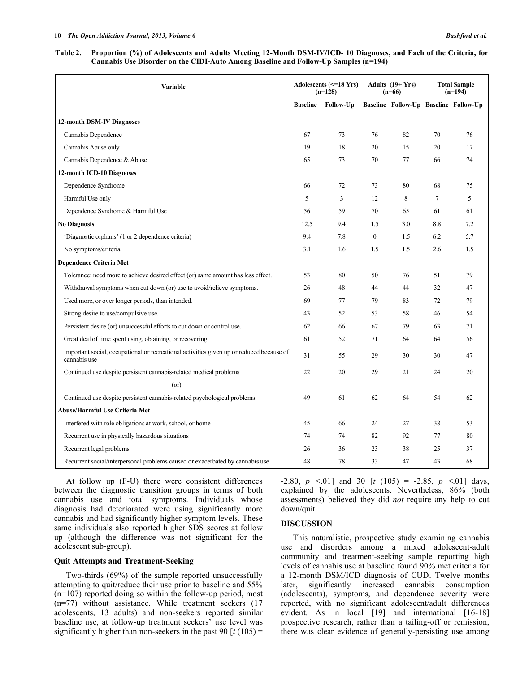#### **Table 2. Proportion (%) of Adolescents and Adults Meeting 12-Month DSM-IV/ICD- 10 Diagnoses, and Each of the Criteria, for Cannabis Use Disorder on the CIDI-Auto Among Baseline and Follow-Up Samples (n=194)**

| <b>Variable</b>                                                                                          | Adolescents (<= 18 Yrs)<br>$(n=128)$ |           | Adults $(19+Yrs)$<br>$(n=66)$ |     | <b>Total Sample</b><br>$(n=194)$ |                                       |
|----------------------------------------------------------------------------------------------------------|--------------------------------------|-----------|-------------------------------|-----|----------------------------------|---------------------------------------|
|                                                                                                          | <b>Baseline</b>                      | Follow-Up |                               |     |                                  | Baseline Follow-Up Baseline Follow-Up |
| 12-month DSM-IV Diagnoses                                                                                |                                      |           |                               |     |                                  |                                       |
| Cannabis Dependence                                                                                      | 67                                   | 73        | 76                            | 82  | 70                               | 76                                    |
| Cannabis Abuse only                                                                                      | 19                                   | 18        | 20                            | 15  | 20                               | 17                                    |
| Cannabis Dependence & Abuse                                                                              | 65                                   | 73        | 70                            | 77  | 66                               | 74                                    |
| 12-month ICD-10 Diagnoses                                                                                |                                      |           |                               |     |                                  |                                       |
| Dependence Syndrome                                                                                      | 66                                   | 72        | 73                            | 80  | 68                               | 75                                    |
| Harmful Use only                                                                                         | 5                                    | 3         | 12                            | 8   | $7\phantom{.0}$                  | 5                                     |
| Dependence Syndrome & Harmful Use                                                                        | 56                                   | 59        | 70                            | 65  | 61                               | 61                                    |
| <b>No Diagnosis</b>                                                                                      | 12.5                                 | 9.4       | 1.5                           | 3.0 | 8.8                              | 7.2                                   |
| 'Diagnostic orphans' (1 or 2 dependence criteria)                                                        | 9.4                                  | 7.8       | $\boldsymbol{0}$              | 1.5 | 6.2                              | 5.7                                   |
| No symptoms/criteria                                                                                     | 3.1                                  | 1.6       | 1.5                           | 1.5 | 2.6                              | 1.5                                   |
| <b>Dependence Criteria Met</b>                                                                           |                                      |           |                               |     |                                  |                                       |
| Tolerance: need more to achieve desired effect (or) same amount has less effect.                         | 53                                   | 80        | 50                            | 76  | 51                               | 79                                    |
| Withdrawal symptoms when cut down (or) use to avoid/relieve symptoms.                                    | 26                                   | 48        | 44                            | 44  | 32                               | 47                                    |
| Used more, or over longer periods, than intended.                                                        | 69                                   | 77        | 79                            | 83  | 72                               | 79                                    |
| Strong desire to use/compulsive use.                                                                     | 43                                   | 52        | 53                            | 58  | 46                               | 54                                    |
| Persistent desire (or) unsuccessful efforts to cut down or control use.                                  | 62                                   | 66        | 67                            | 79  | 63                               | 71                                    |
| Great deal of time spent using, obtaining, or recovering.                                                | 61                                   | 52        | 71                            | 64  | 64                               | 56                                    |
| Important social, occupational or recreational activities given up or reduced because of<br>cannabis use | 31                                   | 55        | 29                            | 30  | 30                               | 47                                    |
| Continued use despite persistent cannabis-related medical problems                                       | 22                                   | 20        | 29                            | 21  | 24                               | 20                                    |
| (or)                                                                                                     |                                      |           |                               |     |                                  |                                       |
| Continued use despite persistent cannabis-related psychological problems                                 | 49                                   | 61        | 62                            | 64  | 54                               | 62                                    |
| Abuse/Harmful Use Criteria Met                                                                           |                                      |           |                               |     |                                  |                                       |
| Interfered with role obligations at work, school, or home                                                | 45                                   | 66        | 24                            | 27  | 38                               | 53                                    |
| Recurrent use in physically hazardous situations                                                         | 74                                   | 74        | 82                            | 92  | 77                               | 80                                    |
| Recurrent legal problems                                                                                 | 26                                   | 36        | 23                            | 38  | 25                               | 37                                    |
| Recurrent social/interpersonal problems caused or exacerbated by cannabis use                            | 48                                   | 78        | 33                            | 47  | 43                               | 68                                    |

At follow up (F-U) there were consistent differences between the diagnostic transition groups in terms of both cannabis use and total symptoms. Individuals whose diagnosis had deteriorated were using significantly more cannabis and had significantly higher symptom levels. These same individuals also reported higher SDS scores at follow up (although the difference was not significant for the adolescent sub-group).

# **Quit Attempts and Treatment-Seeking**

Two-thirds (69%) of the sample reported unsuccessfully attempting to quit/reduce their use prior to baseline and 55% (n=107) reported doing so within the follow-up period, most (n=77) without assistance. While treatment seekers (17 adolescents, 13 adults) and non-seekers reported similar baseline use, at follow-up treatment seekers' use level was significantly higher than non-seekers in the past  $90 \left[ t \left( 105 \right) \right]$  = -2.80,  $p \le 01$  and 30  $[t (105) = -2.85, p \le 01]$  days, explained by the adolescents. Nevertheless, 86% (both assessments) believed they did *not* require any help to cut down/quit.

# **DISCUSSION**

This naturalistic, prospective study examining cannabis use and disorders among a mixed adolescent-adult community and treatment-seeking sample reporting high levels of cannabis use at baseline found 90% met criteria for a 12-month DSM/ICD diagnosis of CUD. Twelve months later, significantly increased cannabis consumption (adolescents), symptoms, and dependence severity were reported, with no significant adolescent/adult differences evident. As in local [19] and international [16-18] prospective research, rather than a tailing-off or remission, there was clear evidence of generally-persisting use among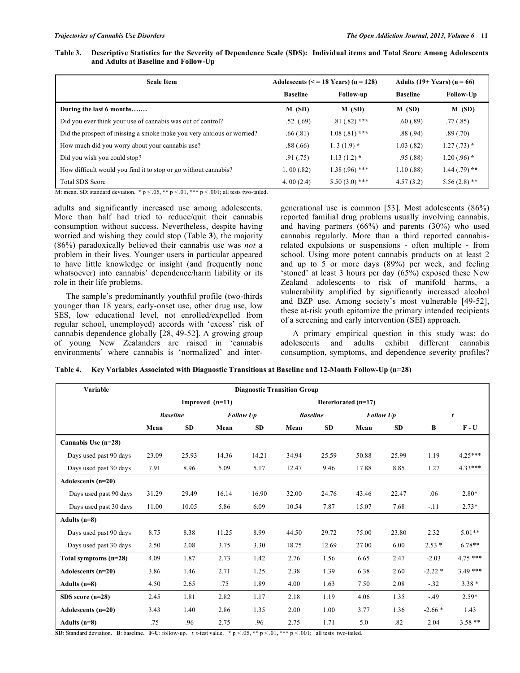| Table 3. Descriptive Statistics for the Severity of Dependence Scale (SDS): Individual items and Total Score Among Adolescents |  |
|--------------------------------------------------------------------------------------------------------------------------------|--|
| and Adults at Baseline and Follow-Up                                                                                           |  |

| <b>Scale Item</b>                                                          |                 | Adolescents $(< = 18$ Years) $(n = 128)$ | Adults $(19+Years)$ (n = 66) |                 |  |
|----------------------------------------------------------------------------|-----------------|------------------------------------------|------------------------------|-----------------|--|
|                                                                            | <b>Baseline</b> | Follow-up                                | <b>Baseline</b>              | Follow-Up       |  |
| During the last 6 months                                                   | $M$ (SD)        | $M$ (SD)                                 | $M$ (SD)                     | M(SD)           |  |
| Did you ever think your use of cannabis was out of control?                | .52(.69)        | $.81(.82)$ ***                           | .60(.89)                     | .77(0.85)       |  |
| Did the prospect of missing a smoke make you very anxious or worried?      | .66(.81)        | $1.08(.81)$ ***                          | .88(.94)                     | .89(.70)        |  |
| How much did you worry about your cannabis use?                            | .88(.66)        | $1.3(1.9)$ *                             | 1.03(.82)                    | $1.27(.73)$ *   |  |
| Did you wish you could stop?                                               | .91(0.75)       | $1.13(1.2)$ *                            | .95(.88)                     | $1.20(.96)$ *   |  |
| How difficult would you find it to stop or go without cannabis?            | 1.00(.82)       | $1.38(.96)$ ***                          | 1.10(.88)                    | $1.44$ (.79) ** |  |
| <b>Total SDS Score</b><br>$\alpha$ , iii ii $\alpha$ , $\alpha$ , $\alpha$ | 4.00 $(2.4)$    | $5.50(3.0)$ ***                          | 4.57(3.2)                    | $5.56(2.8)$ **  |  |

M: mean. SD: standard deviation. **\*** p < .05, **\*\*** p < .01, **\*\*\*** p < .001; all tests two-tailed.

adults and significantly increased use among adolescents. More than half had tried to reduce/quit their cannabis consumption without success. Nevertheless, despite having worried and wishing they could stop (Table **3**), the majority (86%) paradoxically believed their cannabis use was *not* a problem in their lives. Younger users in particular appeared to have little knowledge or insight (and frequently none whatsoever) into cannabis' dependence/harm liability or its role in their life problems.

The sample's predominantly youthful profile (two-thirds younger than 18 years, early-onset use, other drug use, low SES, low educational level, not enrolled/expelled from regular school, unemployed) accords with 'excess' risk of cannabis dependence globally [28, 49-52]. A growing group of young New Zealanders are raised in 'cannabis environments' where cannabis is 'normalized' and intergenerational use is common [53]. Most adolescents (86%) reported familial drug problems usually involving cannabis, and having partners (66%) and parents (30%) who used cannabis regularly. More than a third reported cannabisrelated expulsions or suspensions - often multiple - from school. Using more potent cannabis products on at least 2 and up to 5 or more days (89%) per week, and feeling 'stoned' at least 3 hours per day (65%) exposed these New Zealand adolescents to risk of manifold harms, a vulnerability amplified by significantly increased alcohol and BZP use. Among society's most vulnerable [49-52], these at-risk youth epitomize the primary intended recipients of a screening and early intervention (SEI) approach.

A primary empirical question in this study was: do adolescents and adults exhibit different cannabis consumption, symptoms, and dependence severity profiles?

**Table 4. Key Variables Associated with Diagnostic Transitions at Baseline and 12-Month Follow-Up (n=28)**

| Variable               | <b>Diagnostic Transition Group</b>       |                 |                  |           |                 |           |                  |           |          |           |
|------------------------|------------------------------------------|-----------------|------------------|-----------|-----------------|-----------|------------------|-----------|----------|-----------|
|                        | Improved $(n=11)$<br>Deteriorated (n=17) |                 |                  |           |                 |           |                  |           |          |           |
|                        |                                          | <b>Baseline</b> | <b>Follow Up</b> |           | <b>Baseline</b> |           | <b>Follow Up</b> |           | t        |           |
|                        | Mean                                     | <b>SD</b>       | Mean             | <b>SD</b> | Mean            | <b>SD</b> | Mean             | <b>SD</b> | B        | $F - U$   |
| Cannabis Use (n=28)    |                                          |                 |                  |           |                 |           |                  |           |          |           |
| Days used past 90 days | 23.09                                    | 25.93           | 14.36            | 14.21     | 34.94           | 25.59     | 50.88            | 25.99     | 1.19     | $4.25***$ |
| Days used past 30 days | 7.91                                     | 8.96            | 5.09             | 5.17      | 12.47           | 9.46      | 17.88            | 8.85      | 1.27     | $4.33***$ |
| Adolescents $(n=20)$   |                                          |                 |                  |           |                 |           |                  |           |          |           |
| Days used past 90 days | 31.29                                    | 29.49           | 16.14            | 16.90     | 32.00           | 24.76     | 43.46            | 22.47     | .06      | $2.80*$   |
| Days used past 30 days | 11.00                                    | 10.05           | 5.86             | 6.09      | 10.54           | 7.87      | 15.07            | 7.68      | $-.11$   | $2.73*$   |
| Adults $(n=8)$         |                                          |                 |                  |           |                 |           |                  |           |          |           |
| Days used past 90 days | 8.75                                     | 8.38            | 11.25            | 8.99      | 44.50           | 29.72     | 75.00            | 23.80     | 2.32     | $5.01**$  |
| Days used past 30 days | 2.50                                     | 2.08            | 3.75             | 3.30      | 18.75           | 12.69     | 27.00            | 6.00      | $2.53*$  | $6.78**$  |
| Total symptoms (n=28)  | 4.09                                     | 1.87            | 2.73             | 1.42      | 2.76            | 1.56      | 6.65             | 2.47      | $-2.03$  | $4.75***$ |
| Adolescents $(n=20)$   | 3.86                                     | 1.46            | 2.71             | 1.25      | 2.38            | 1.39      | 6.38             | 2.60      | $-2.22*$ | $3.49***$ |
| Adults $(n=8)$         | 4.50                                     | 2.65            | .75              | 1.89      | 4.00            | 1.63      | 7.50             | 2.08      | $-.32$   | $3.38*$   |
| SDS score $(n=28)$     | 2.45                                     | 1.81            | 2.82             | 1.17      | 2.18            | 1.19      | 4.06             | 1.35      | $-.49$   | $2.59*$   |
| Adolescents $(n=20)$   | 3.43                                     | 1.40            | 2.86             | 1.35      | 2.00            | 1.00      | 3.77             | 1.36      | $-2.66*$ | 1.43      |
| Adults $(n=8)$         | .75                                      | .96             | 2.75             | .96       | 2.75            | 1.71      | 5.0              | .82       | 2.04     | $3.58**$  |

**SD**: Standard deviation. **B**: baseline. **F-U**: follow-up. *t*: t-test value.  $* p < 0.05$ ,  $* p < 0.01$ ,  $* k p < 0.001$ ; all tests two-tailed.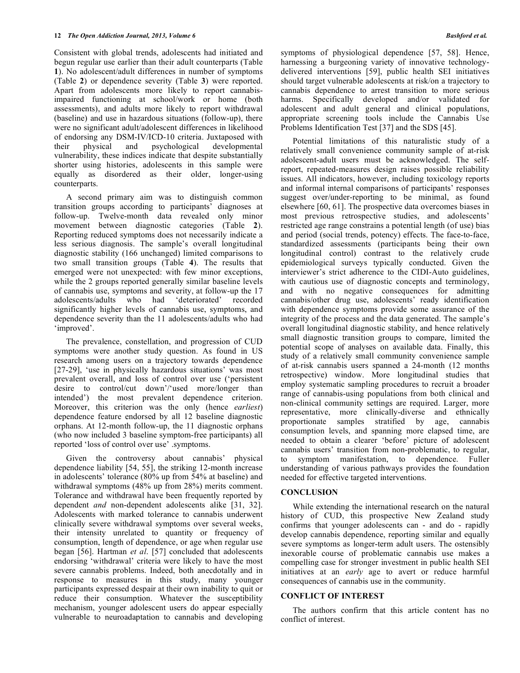Consistent with global trends, adolescents had initiated and begun regular use earlier than their adult counterparts (Table **1**). No adolescent/adult differences in number of symptoms (Table **2**) or dependence severity (Table **3**) were reported. Apart from adolescents more likely to report cannabisimpaired functioning at school/work or home (both assessments), and adults more likely to report withdrawal (baseline) and use in hazardous situations (follow-up), there were no significant adult/adolescent differences in likelihood of endorsing any DSM-IV/ICD-10 criteria. Juxtaposed with their physical and psychological developmental vulnerability, these indices indicate that despite substantially shorter using histories, adolescents in this sample were equally as disordered as their older, longer-using counterparts.

A second primary aim was to distinguish common transition groups according to participants' diagnoses at follow-up. Twelve-month data revealed only minor movement between diagnostic categories (Table **2**). Reporting reduced symptoms does not necessarily indicate a less serious diagnosis. The sample's overall longitudinal diagnostic stability (166 unchanged) limited comparisons to two small transition groups (Table **4**). The results that emerged were not unexpected: with few minor exceptions, while the 2 groups reported generally similar baseline levels of cannabis use, symptoms and severity, at follow-up the 17 adolescents/adults who had 'deteriorated' recorded significantly higher levels of cannabis use, symptoms, and dependence severity than the 11 adolescents/adults who had 'improved'.

The prevalence, constellation, and progression of CUD symptoms were another study question. As found in US research among users on a trajectory towards dependence [27-29], 'use in physically hazardous situations' was most prevalent overall, and loss of control over use ('persistent desire to control/cut down'/'used more/longer than intended') the most prevalent dependence criterion. Moreover, this criterion was the only (hence *earliest*) dependence feature endorsed by all 12 baseline diagnostic orphans. At 12-month follow-up, the 11 diagnostic orphans (who now included 3 baseline symptom-free participants) all reported 'loss of control over use' .symptoms.

Given the controversy about cannabis' physical dependence liability [54, 55], the striking 12-month increase in adolescents' tolerance (80% up from 54% at baseline) and withdrawal symptoms (48% up from 28%) merits comment. Tolerance and withdrawal have been frequently reported by dependent *and* non-dependent adolescents alike [31, 32]. Adolescents with marked tolerance to cannabis underwent clinically severe withdrawal symptoms over several weeks, their intensity unrelated to quantity or frequency of consumption, length of dependence, or age when regular use began [56]. Hartman *et al*. [57] concluded that adolescents endorsing 'withdrawal' criteria were likely to have the most severe cannabis problems. Indeed, both anecdotally and in response to measures in this study, many younger participants expressed despair at their own inability to quit or reduce their consumption. Whatever the susceptibility mechanism, younger adolescent users do appear especially vulnerable to neuroadaptation to cannabis and developing

symptoms of physiological dependence [57, 58]. Hence, harnessing a burgeoning variety of innovative technologydelivered interventions [59], public health SEI initiatives should target vulnerable adolescents at risk/on a trajectory to cannabis dependence to arrest transition to more serious harms. Specifically developed and/or validated for adolescent and adult general and clinical populations, appropriate screening tools include the Cannabis Use Problems Identification Test [37] and the SDS [45].

Potential limitations of this naturalistic study of a relatively small convenience community sample of at-risk adolescent-adult users must be acknowledged. The selfreport, repeated-measures design raises possible reliability issues. All indicators, however, including toxicology reports and informal internal comparisons of participants' responses suggest over/under-reporting to be minimal, as found elsewhere [60, 61]. The prospective data overcomes biases in most previous retrospective studies, and adolescents' restricted age range constrains a potential length (of use) bias and period (social trends, potency) effects. The face-to-face, standardized assessments (participants being their own longitudinal control) contrast to the relatively crude epidemiological surveys typically conducted. Given the interviewer's strict adherence to the CIDI-Auto guidelines, with cautious use of diagnostic concepts and terminology, and with no negative consequences for admitting cannabis/other drug use, adolescents' ready identification with dependence symptoms provide some assurance of the integrity of the process and the data generated. The sample's overall longitudinal diagnostic stability, and hence relatively small diagnostic transition groups to compare, limited the potential scope of analyses on available data. Finally, this study of a relatively small community convenience sample of at-risk cannabis users spanned a 24-month (12 months retrospective) window. More longitudinal studies that employ systematic sampling procedures to recruit a broader range of cannabis-using populations from both clinical and non-clinical community settings are required. Larger, more representative, more clinically-diverse and ethnically proportionate samples stratified by age, cannabis consumption levels, and spanning more elapsed time, are needed to obtain a clearer 'before' picture of adolescent cannabis users' transition from non-problematic, to regular, to symptom manifestation, to dependence. Fuller understanding of various pathways provides the foundation needed for effective targeted interventions.

# **CONCLUSION**

While extending the international research on the natural history of CUD, this prospective New Zealand study confirms that younger adolescents can - and do - rapidly develop cannabis dependence, reporting similar and equally severe symptoms as longer-term adult users. The ostensibly inexorable course of problematic cannabis use makes a compelling case for stronger investment in public health SEI initiatives at an *early* age to avert or reduce harmful consequences of cannabis use in the community.

#### **CONFLICT OF INTEREST**

The authors confirm that this article content has no conflict of interest.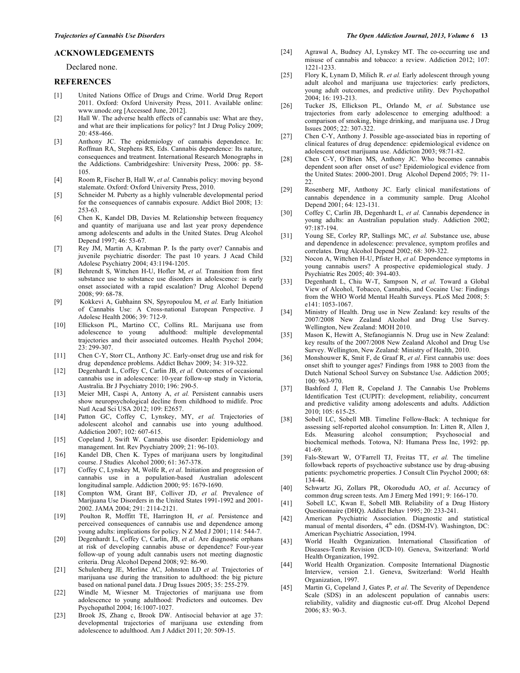#### **ACKNOWLEDGEMENTS**

#### Declared none.

#### **REFERENCES**

- [1] United Nations Office of Drugs and Crime. World Drug Report 2011. Oxford: Oxford University Press, 2011. Available online: www.unodc.org [Accessed June, 2012].
- [2] Hall W. The adverse health effects of cannabis use: What are they, and what are their implications for policy? Int J Drug Policy 2009; 20: 458-466.
- [3] Anthony JC. The epidemiology of cannabis dependence. In: Roffman RA, Stephens RS, Eds. Cannabis dependence: Its nature, consequences and treatment. International Research Monographs in the Addictions. Cambridgeshire: University Press, 2006: pp. 58- 105.
- [4] Room R, Fischer B, Hall W, *et al.* Cannabis policy: moving beyond stalemate. Oxford: Oxford University Press, 2010.
- [5] Schneider M. Puberty as a highly vulnerable developmental period for the consequences of cannabis exposure. Addict Biol 2008; 13: 253-63.
- [6] Chen K, Kandel DB, Davies M. Relationship between frequency and quantity of marijuana use and last year proxy dependence among adolescents and adults in the United States. Drug Alcohol Depend 1997; 46: 53-67.
- [7] Rey JM, Martin A, Krabman P. Is the party over? Cannabis and juvenile psychiatric disorder: The past 10 years. J Acad Child Adolesc Psychiatry 2004; 43:1194-1205.
- [8] Behrendt S, Wittchen H-U, Hofler M, et al. Transition from first substance use to substance use disorders in adolescence: is early onset associated with a rapid escalation? Drug Alcohol Depend 2008; 99: 68-78.
- [9] Kokkevi A, Gabhainn SN, Spyropoulou M, *et al.* Early Initiation of Cannabis Use: A Cross-national European Perspective. J Adolesc Health 2006; 39: 712-9.
- [10] Ellickson PL, Martino CC, Collins RL. Marijuana use from adulthood: multiple developmental trajectories and their associated outcomes. Health Psychol 2004; 23: 299-307.
- [11] Chen C-Y, Storr CL, Anthony JC. Early-onset drug use and risk for drug dependence problems. Addict Behav 2009; 34: 319-322.
- [12] Degenhardt L, Coffey C, Carlin JB, *et al.* Outcomes of occasional cannabis use in adolescence: 10-year follow-up study in Victoria, Australia. Br J Psychiatry 2010; 196: 290-5.
- [13] Meier MH, Caspi A, Antony A, *et al.* Persistent cannabis users show neuropsychological decline from childhood to midlife. Proc Natl Acad Sci USA 2012; 109: E2657.
- [14] Patton GC, Coffey C, Lynskey, MY, *et al.* Trajectories of adolescent alcohol and cannabis use into young adulthood. Addiction 2007; 102: 607-615.
- [15] Copeland J, Swift W. Cannabis use disorder: Epidemiology and management. Int. Rev Psychiatry 2009; 21: 96-103.
- [16] Kandel DB, Chen K. Types of marijuana users by longitudinal course. J Studies Alcohol 2000; 61: 367-378.
- [17] Coffey C, Lynskey M, Wolfe R, *et al*. Initiation and progression of cannabis use in a population-based Australian adolescent longitudinal sample. Addiction 2000; 95: 1679-1690.
- [18] Compton WM, Grant BF, Colliver JD, *et al.* Prevalence of Marijuana Use Disorders in the United States 1991-1992 and 2001- 2002. JAMA 2004; 291: 2114-2121.
- [19] Poulton R, Moffitt TE, Harrington H, *et al*. Persistence and perceived consequences of cannabis use and dependence among young adults: implications for policy. N Z Med J 2001; 114: 544-7.
- [20] Degenhardt L, Coffey C, Carlin, JB, *et al*. Are diagnostic orphans at risk of developing cannabis abuse or dependence? Four-year follow-up of young adult cannabis users not meeting diagnostic criteria. Drug Alcohol Depend 2008; 92: 86-90.
- [21] Schulenberg JE, Merline AC, Johnston LD *et al.* Trajectories of marijuana use during the transition to adulthood: the big picture based on national panel data. J Drug Issues 2005; 35: 255-279.
- [22] Windle M, Wiesner M. Trajectories of marijuana use from adolescence to young adulthood: Predictors and outcomes. Dev Psychopathol 2004; 16:1007-1027.
- [23] Brook JS, Zhang c, Brook DW. Antisocial behavior at age 37: developmental trajectories of marijuana use extending from adolescence to adulthood. Am J Addict 2011; 20: 509-15.
- [24] Agrawal A, Budney AJ, Lynskey MT. The co-occurring use and misuse of cannabis and tobacco: a review. Addiction 2012; 107: 1221-1233.
- [25] Flory K, Lynam D, Milich R. *et al.* Early adolescent through young adult alcohol and marijuana use trajectories: early predictors, young adult outcomes, and predictive utility. Dev Psychopathol 2004; 16: 193-213.
- [26] Tucker JS, Ellickson PL, Orlando M, *et al.* Substance use trajectories from early adolescence to emerging adulthood: a comparison of smoking, binge drinking, and marijuana use. J Drug Issues 2005; 22: 307-322.
- [27] Chen C-Y, Anthony J. Possible age-associated bias in reporting of clinical features of drug dependence: epidemiological evidence on adolescent onset marijuana use. Addiction 2003; 98:71-82.
- [28] Chen C-Y, O'Brien MS, Anthony JC. Who becomes cannabis dependent soon after onset of use? Epidemiological evidence from the United States: 2000-2001. Drug Alcohol Depend 2005; 79: 11-  $22.2$
- [29] Rosenberg MF, Anthony JC. Early clinical manifestations of cannabis dependence in a community sample. Drug Alcohol Depend 2001; 64: 123-131.
- [30] Coffey C, Carlin JB, Degenhardt L, et al. Cannabis dependence in young adults: an Australian population study. Addiction 2002; 97:187-194.
- [31] Young SE, Corley RP, Stallings MC, *et al.* Substance use, abuse and dependence in adolescence: prevalence, symptom profiles and correlates. Drug Alcohol Depend 2002; 68: 309-322.
- [32] Nocon A, Wittchen H-U, Pfister H, *et al.* Dependence symptoms in young cannabis users? A prospective epidemiological study. J Psychiatric Res 2005; 40: 394-403.
- [33] Degenhardt L, Chiu W-T, Sampson N, *et al.* Toward a Global View of Alcohol, Tobacco, Cannabis, and Cocaine Use: Findings from the WHO World Mental Health Surveys. PLoS Med 2008; 5: e141: 1053-1067.
- [34] Ministry of Health. Drug use in New Zealand: key results of the 2007/2008 New Zealand Alcohol and Drug Use Survey. Wellington, New Zealand: MOH 2010.
- [35] Mason K, Hewitt A, Stefanogiannis N. Drug use in New Zealand: key results of the 2007/2008 New Zealand Alcohol and Drug Use Survey. Wellington, New Zealand: Ministry of Health, 2010.
- [36] Monshouwer K, Smit F, de Graaf R, *et al*. First cannabis use: does onset shift to younger ages? Findings from 1988 to 2003 from the Dutch National School Survey on Substance Use. Addiction 2005; 100: 963-970.
- [37] Bashford J, Flett R, Copeland J. The Cannabis Use Problems Identification Test (CUPIT): development, reliability, concurrent and predictive validity among adolescents and adults. Addiction 2010; 105: 615-25.
- [38] Sobell LC, Sobell MB. Timeline Follow-Back: A technique for assessing self-reported alcohol consumption. In: Litten R, Allen J, Eds. Measuring alcohol consumption; Psychosocial and biochemical methods. Totowa, NJ: Humana Press Inc, 1992: pp. 41-69.
- [39] Fals-Stewart W, O'Farrell TJ, Freitas TT, *et al.* The timeline followback reports of psychoactive substance use by drug-abusing patients: psychometric properties. J Consult Clin Psychol 2000; 68:  $134 - 44$
- [40] Schwartz JG, Zollars PR, Okorodudu AO, *et al*. Accuracy of common drug screen tests. Am J Emerg Med 1991; 9: 166-170.
- [41] Sobell LC, Kwan E, Sobell MB. Reliability of a Drug History Questionnaire (DHQ). Addict Behav 1995; 20: 233-241.
- [42] American Psychiatric Association. Diagnostic and statistical manual of mental disorders, 4<sup>th</sup> edn. (DSM-IV). Washington, DC: American Psychiatric Association, 1994.
- [43] World Health Organization. International Classification of Diseases-Tenth Revision (ICD-10). Geneva, Switzerland: World Health Organization, 1992.
- [44] World Health Organization. Composite International Diagnostic Interview, version 2.1. Geneva, Switzerland: World Health Organization, 1997.
- [45] Martin G, Copeland J, Gates P, *et al*. The Severity of Dependence Scale (SDS) in an adolescent population of cannabis users: reliability, validity and diagnostic cut-off. Drug Alcohol Depend 2006; 83: 90-3.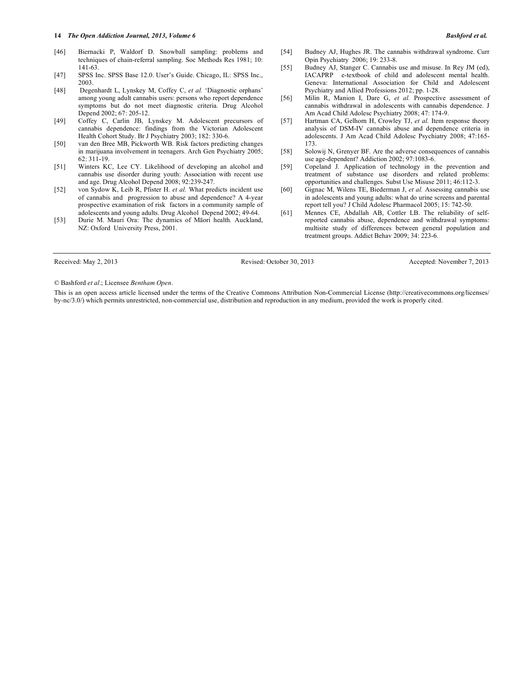#### **14** *The Open Addiction Journal, 2013, Volume 6 Bashford et al.*

- [46] Biernacki P, Waldorf D. Snowball sampling: problems and techniques of chain-referral sampling. Soc Methods Res 1981; 10: 141-63.
- [47] SPSS Inc. SPSS Base 12.0. User's Guide. Chicago, IL: SPSS Inc., 2003.
- [48] Degenhardt L, Lynskey M, Coffey C, *et al.* 'Diagnostic orphans' among young adult cannabis users: persons who report dependence symptoms but do not meet diagnostic criteria. Drug Alcohol Depend 2002; 67: 205-12.
- [49] Coffey C, Carlin JB, Lynskey M. Adolescent precursors of cannabis dependence: findings from the Victorian Adolescent Health Cohort Study. Br J Psychiatry 2003; 182: 330-6.
- [50] van den Bree MB, Pickworth WB. Risk factors predicting changes in marijuana involvement in teenagers. Arch Gen Psychiatry 2005; 62: 311-19.
- [51] Winters KC, Lee CY. Likelihood of developing an alcohol and cannabis use disorder during youth: Association with recent use and age. Drug Alcohol Depend 2008; 92:239-247.
- [52] von Sydow K, Leib R, Pfister H. *et al.* What predicts incident use of cannabis and progression to abuse and dependence? A 4-year prospective examination of risk factors in a community sample of adolescents and young adults. Drug Alcohol Depend 2002; 49-64.
- [53] Durie M. Mauri Ora: The dynamics of Māori health*.* Auckland, NZ: Oxford University Press, 2001.

Received: May 2, 2013 Revised: October 30, 2013 Accepted: November 7, 2013

#### © Bashford *et al*.; Licensee *Bentham Open*.

This is an open access article licensed under the terms of the Creative Commons Attribution Non-Commercial License (http://creativecommons.org/licenses/ by-nc/3.0/) which permits unrestricted, non-commercial use, distribution and reproduction in any medium, provided the work is properly cited.

- [54] Budney AJ, Hughes JR. The cannabis withdrawal syndrome. Curr Opin Psychiatry 2006; 19: 233-8.
- [55] Budney AJ, Stanger C. Cannabis use and misuse. In Rey JM (ed), IACAPRP e-textbook of child and adolescent mental health. Geneva: International Association for Child and Adolescent Psychiatry and Allied Professions 2012; pp. 1-28.
- [56] Milin R, Manion I, Dare G, *et al.* Prospective assessment of cannabis withdrawal in adolescents with cannabis dependence. J Am Acad Child Adolesc Psychiatry 2008; 47: 174-9.
- [57] Hartman CA, Gelhorn H, Crowley TJ, et al. Item response theory analysis of DSM-IV cannabis abuse and dependence criteria in adolescents. J Am Acad Child Adolesc Psychiatry 2008; 47:165- 173.
- [58] Solowij N, Grenyer BF. Are the adverse consequences of cannabis use age-dependent? Addiction 2002; 97:1083-6.
- [59] Copeland J. Application of technology in the prevention and treatment of substance use disorders and related problems: opportunities and challenges. Subst Use Misuse 2011; 46:112-3.
- [60] Gignac M, Wilens TE, Biederman J, *et al.* Assessing cannabis use in adolescents and young adults: what do urine screens and parental report tell you? J Child Adolesc Pharmacol 2005; 15: 742-50.
- [61] Mennes CE, Abdallah AB, Cottler LB. The reliability of selfreported cannabis abuse, dependence and withdrawal symptoms: multisite study of differences between general population and treatment groups. Addict Behav 2009; 34: 223-6.